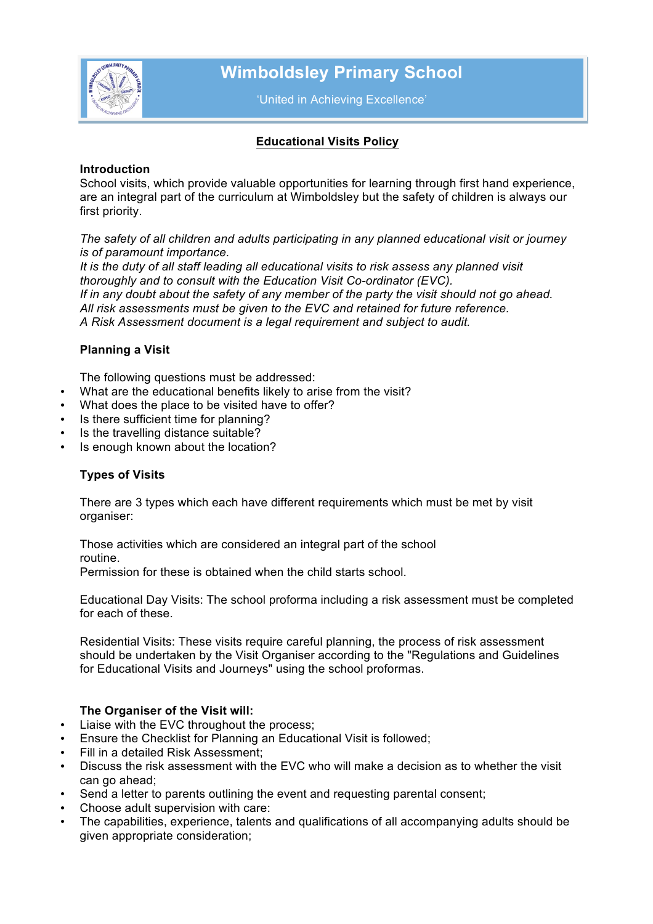

# **Wimboldsley Primary School**

'United in Achieving Excellence'

## **Educational Visits Policy**

#### **Introduction**

School visits, which provide valuable opportunities for learning through first hand experience, are an integral part of the curriculum at Wimboldsley but the safety of children is always our first priority.

*The safety of all children and adults participating in any planned educational visit or journey is of paramount importance.*

*It is the duty of all staff leading all educational visits to risk assess any planned visit thoroughly and to consult with the Education Visit Co-ordinator (EVC). If in any doubt about the safety of any member of the party the visit should not go ahead. All risk assessments must be given to the EVC and retained for future reference. A Risk Assessment document is a legal requirement and subject to audit.*

## **Planning a Visit**

The following questions must be addressed:

- What are the educational benefits likely to arise from the visit?
- What does the place to be visited have to offer?
- Is there sufficient time for planning?
- Is the travelling distance suitable?
- Is enough known about the location?

## **Types of Visits**

There are 3 types which each have different requirements which must be met by visit organiser:

Those activities which are considered an integral part of the school routine.

Permission for these is obtained when the child starts school.

Educational Day Visits: The school proforma including a risk assessment must be completed for each of these.

Residential Visits: These visits require careful planning, the process of risk assessment should be undertaken by the Visit Organiser according to the "Regulations and Guidelines for Educational Visits and Journeys" using the school proformas.

## **The Organiser of the Visit will:**

- Liaise with the EVC throughout the process;
- Ensure the Checklist for Planning an Educational Visit is followed;
- Fill in a detailed Risk Assessment;
- Discuss the risk assessment with the EVC who will make a decision as to whether the visit can go ahead:
- Send a letter to parents outlining the event and requesting parental consent;
- Choose adult supervision with care:
- The capabilities, experience, talents and qualifications of all accompanying adults should be given appropriate consideration;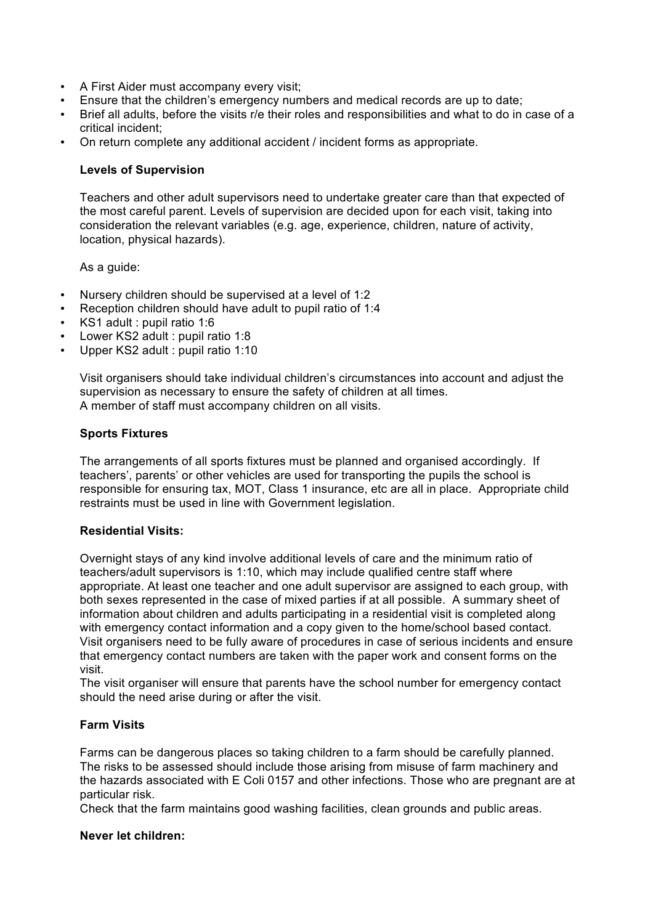- A First Aider must accompany every visit;
- Ensure that the children's emergency numbers and medical records are up to date;
- Brief all adults, before the visits r/e their roles and responsibilities and what to do in case of a critical incident;
- On return complete any additional accident / incident forms as appropriate.

#### **Levels of Supervision**

Teachers and other adult supervisors need to undertake greater care than that expected of the most careful parent. Levels of supervision are decided upon for each visit, taking into consideration the relevant variables (e.g. age, experience, children, nature of activity, location, physical hazards).

As a guide:

- Nursery children should be supervised at a level of 1:2
- Reception children should have adult to pupil ratio of 1:4
- KS1 adult : pupil ratio 1:6
- Lower KS2 adult : pupil ratio 1:8
- Upper KS2 adult : pupil ratio 1:10

Visit organisers should take individual children's circumstances into account and adjust the supervision as necessary to ensure the safety of children at all times. A member of staff must accompany children on all visits.

#### **Sports Fixtures**

The arrangements of all sports fixtures must be planned and organised accordingly. If teachers', parents' or other vehicles are used for transporting the pupils the school is responsible for ensuring tax, MOT, Class 1 insurance, etc are all in place. Appropriate child restraints must be used in line with Government legislation.

#### **Residential Visits:**

Overnight stays of any kind involve additional levels of care and the minimum ratio of teachers/adult supervisors is 1:10, which may include qualified centre staff where appropriate. At least one teacher and one adult supervisor are assigned to each group, with both sexes represented in the case of mixed parties if at all possible. A summary sheet of information about children and adults participating in a residential visit is completed along with emergency contact information and a copy given to the home/school based contact. Visit organisers need to be fully aware of procedures in case of serious incidents and ensure that emergency contact numbers are taken with the paper work and consent forms on the visit.

The visit organiser will ensure that parents have the school number for emergency contact should the need arise during or after the visit.

## **Farm Visits**

Farms can be dangerous places so taking children to a farm should be carefully planned. The risks to be assessed should include those arising from misuse of farm machinery and the hazards associated with E Coli 0157 and other infections. Those who are pregnant are at particular risk.

Check that the farm maintains good washing facilities, clean grounds and public areas.

#### **Never let children:**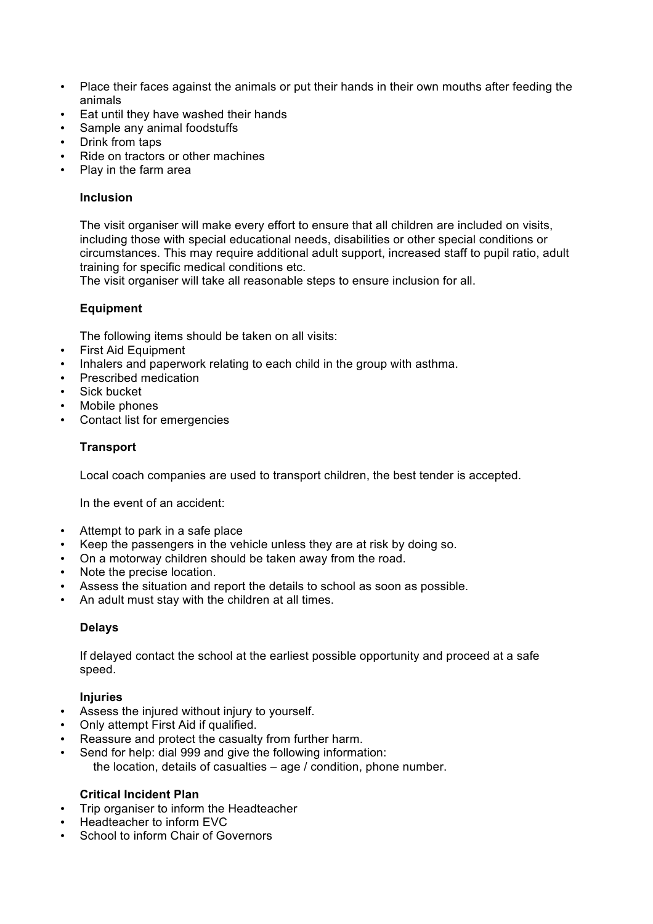- Place their faces against the animals or put their hands in their own mouths after feeding the animals
- Eat until they have washed their hands
- Sample any animal foodstuffs
- Drink from taps
- Ride on tractors or other machines
- Play in the farm area

#### **Inclusion**

The visit organiser will make every effort to ensure that all children are included on visits, including those with special educational needs, disabilities or other special conditions or circumstances. This may require additional adult support, increased staff to pupil ratio, adult training for specific medical conditions etc.

The visit organiser will take all reasonable steps to ensure inclusion for all.

## **Equipment**

The following items should be taken on all visits:

- First Aid Equipment
- Inhalers and paperwork relating to each child in the group with asthma.
- Prescribed medication
- Sick bucket
- Mobile phones
- Contact list for emergencies

## **Transport**

Local coach companies are used to transport children, the best tender is accepted.

In the event of an accident:

- Attempt to park in a safe place
- Keep the passengers in the vehicle unless they are at risk by doing so.
- On a motorway children should be taken away from the road.
- Note the precise location.
- Assess the situation and report the details to school as soon as possible.
- An adult must stay with the children at all times.

## **Delays**

If delayed contact the school at the earliest possible opportunity and proceed at a safe speed.

## **Injuries**

- Assess the injured without injury to yourself.
- Only attempt First Aid if qualified.
- Reassure and protect the casualty from further harm.
- Send for help: dial 999 and give the following information: the location, details of casualties – age / condition, phone number.

## **Critical Incident Plan**

- Trip organiser to inform the Headteacher
- Headteacher to inform EVC
- School to inform Chair of Governors